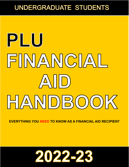## UNDERGRADUATE STUDENTS

# PLU FINANCIAL AID) HANDBOOK

**EVERYTHING YOU NEED TO KNOW AS A FINANCIAL AID RECIPIENT**

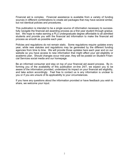Financial aid is complex. Financial assistance is available from a variety of funding sources in different combinations to create aid packages that may have several similar, but not identical policies and procedures.

This publication is intended to be a single source of information necessary to successfully navigate the financial aid awarding process as a first year student through graduation. We hope to make earning a PLU undergraduate degree affordable to all admitted students and provide you with the financial aid information to make the financial aid process as smooth as possible each year.

Policies and regulations do not remain static. Some regulations require updates every year, while new statutes and regulations may be generated by the different funding agencies from time to time. We will provide those updates here each year and on our website so you have access to new information that might affect your aid eligibility or academic plan. Should changes occur mid-year, they will be posted on Student Financial Services social media and our homepage.

Be an informed consumer and stay on top of your financial aid award process. By informing you of the availability of this publication on-line 24/7, we expect you to be aware of the information provided, understand its impact on your financial aid eligibility, and take action accordingly. Feel free to contact us is any information is unclear to you or if you are unsure of its applicability to your circumstances.

If you have any questions about the information provided or have feedback you wish to share, we welcome your input.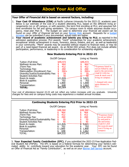### **Your Offer of Financial Aid is based on several factors, including:**

- 1. **Your Cost Of Attendance (COA)** at Pacific Lutheran University for the 2022-23 academic year: Below is our estimate of the cost of a student attending PLU, based on the different living arrangements (on or off campus, or with parents), the term first enrolling at PLU, and assumes fulltime enrollment for fall and spring semesters. On campus room & meals assumes double occupancy, meal plan Plan B. The budget we used to determine your financial aid award can be found on your *Offer of Financial Aid* and on your **[Banner Web](https://banweb.plu.edu/pls/pap/twbkwbis.P_GenMenu?name=homepage)** account. Requests for a budget [increase](https://www.plu.edu/student-financial-services/wp-content/uploads/sites/321/2021/12/2022-23-budget-increase-request-form_pii.pdf) can be submitted if your documented, actual costs are higher.
- 2. **Your record of academic achievement and talents you bring to PLU**, as reported in the admission application process: PLU awards "merit" scholarships for your academic achievement, exceptional artistic achievement in music, forensics, dance, theatre, and art, as well as leadership in your community. "Merit" awards may be awarded without respect to financial need, or may be part of a need-based financial aid award. As an NCAA DIII school, PLU does not include athletic participation, performance, or leadership in its consideration for scholarship eligibility.

#### **New Students Entering PLU in 2022-23**

| On/Off Campus                                                                                                                                                                                                                                                    |                                                                                        | Living w/ Parents                                                                     |                                                                                                                                                                                               |
|------------------------------------------------------------------------------------------------------------------------------------------------------------------------------------------------------------------------------------------------------------------|----------------------------------------------------------------------------------------|---------------------------------------------------------------------------------------|-----------------------------------------------------------------------------------------------------------------------------------------------------------------------------------------------|
| Tuition (Full-time:<br>Wellness Access Plan:<br>JTerm Fee:<br>Technology Fee:<br>Matriculation (Enrollment) Fee:<br>Diversity/Justice/Sustainability Fee:<br><b>Student Activities Fee:</b><br>Room & meals:<br>Book & supplies:<br>Personal:<br>Transportation: | \$49,472<br>464<br>412<br>260<br>$260+$<br>20<br>40<br>\$11,826<br>702<br>1,800<br>648 | \$49,472<br>464<br>412<br>260<br>$260+$<br>20<br>40<br>3,621<br>702<br>1,800<br>1,662 | **Expenses listed in<br>red are billed by and<br>paid to the university;<br>(Add \$11,826 for<br>room & meal cost if<br>living on campus).<br>+ charged only once<br>upon entrance to<br>PLU. |
| <b>TOTAL:</b>                                                                                                                                                                                                                                                    | \$65,904                                                                               | \$58,713                                                                              |                                                                                                                                                                                               |

Your cost of attendance beyond 22-23 will not reflect any tuition increases until you graduate. University charges for fees and on campus living costs may experience a modest annual increase.

| <b>Continuing Students Entering PLU Prior to 2022-23</b>                                                                                                                                                                                |                                                                                       |                                                                                                     |                                                                                                                                                 |  |
|-----------------------------------------------------------------------------------------------------------------------------------------------------------------------------------------------------------------------------------------|---------------------------------------------------------------------------------------|-----------------------------------------------------------------------------------------------------|-------------------------------------------------------------------------------------------------------------------------------------------------|--|
| On/Off Campus                                                                                                                                                                                                                           |                                                                                       | Living w/ Parents                                                                                   |                                                                                                                                                 |  |
| Tuition (Full-time:<br>Wellness Access Plan:<br>JTerm Fee:<br>Technology Fee:<br>Diversity/Justice/Sustainability Fee:<br><b>Student Activities Fee:</b><br>Room & meals:<br>Book & supplies:<br>Personal:<br>Transportation:<br>TOTAL: | \$48,360<br>464<br>412<br>260<br>20<br>40<br>1,826<br>702<br>1,800<br>648<br>\$64,532 | \$48,360`<br>464<br>412<br>260<br>20<br>40<br><del>3,621</del><br>702<br>1,800<br>1,662<br>\$57,341 | *Expenses listed<br>in red are billed<br>by and paid to<br>the university;<br>(Add \$11,826)<br>for room & meal<br>cost if living on<br>campus) |  |

3**. Your Expected Family Contribution (EFC)**, if you submitted the 2022-23 Free Application Federal Student Aid (FAFSA). The EFC is based on a federal formula for determining your family's estimated ability to contribute toward your education for the academic year. Your EFC can be found on Offer of Financial Aid as "Family Contribution", as well as on your [Banner Self Service](https://banweb.plu.edu/pls/pap/twbkwbis.P_GenMenu?name=homepage) account.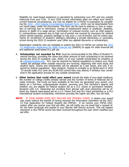Eligibility for need-based assistance is calculated by subtracting your EFC and any outside resources from your COA. If your 2020 income information does not reflect your family's current financial circumstances, you may be eligible for a FAFSA re-evaluation by completing the 2022 - [2023 Special Circumstances Request Form,](https://www.plu.edu/student-financial-services/wp-content/uploads/sites/321/2021/12/special-circ-request-form-2022-23_pii.pdf) which can be downloaded from our Home page, under the Documents. This form can be used to address a.) loss or reduction of earnings due to retirement, change of employment status or employer, disability, divorce or death of a wage earner, termination of untaxed income, such as child support, b.) extraordinary expenses due to high out-of-pocket not covered by insurance for medical and/or dental expense, property damage or loss and c.) out-of-pocket cost for tuition payments for enrollment of student's sibling(s) attending a private elementary or secondary school during the 2022-23 academic year (after any applied discounts or scholarships).

Washington residents who are ineligible to submit the 2022-23 FAFSA can submit the [2022](https://wsac.wa.gov/wasfa) -[23 Washington Application for State Financial Aid](https://wsac.wa.gov/wasfa) (WASFA) to apply for state financial aid and additional need-based PLU gift aid.

- 4**. Scholarships not awarded by PLU** must be communicated to the Office of Student Financial Services, providing the name and dollar amount of each scholarship to be received during the 2022-23 academic year. Notify us of your outside scholarships by emailing us at [outsideschp@plu.edu.](mailto:outsidesch@plu.edu) PLU may be required by federal regulations to reduce your need -based aid package when outside resources are received, beginning with work study and student loans. Grants and scholarships will be adjusted as a last resort, and only if required by federal regulations. New students hoping to compete in an NCAA sport in 2022 -23 should notify PLU (and any NCAA DIII school they may attend) if athletics was considered in the application process for any outside scholarship.
- 5. **Other factors that could affect your award** include the state of your legal residence, the number of college credits already earned and the number of terms of financial aid already received, the funds we have available at the time we generated your award, your status as a full-time, undergraduate student, pursuing your first bachelor's degree and whether you are eligible for federal student aid as a U.S. citizen or permanent resident. Students with U.S. citizenship but enrolling from abroad with dual citizenship will be offered any federal need-based aid as a U.S. citizen first and PLU merit scholarship or a PLU international student scholarsthip, whichever provides the higher aid offer, but not both.
- **NOTE:** IF YOUR AWARD DOES NOT INCLUDE ANY FEDERAL FUNDS, it means your award was made without the benefit of having received the information submitted via the 2022- 23 Free Application for Federal Student Aid (FAFSA). If we receive your FAFSA information after you receive your first aid offer, we will notify you via email that a revised offer has been produced and posted to your Banner Self Service account. This will happen whenever a new FAFSA record has been received throughout the year which modifies your aid offer.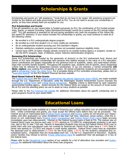## **Scholarships & Grants**

Scholarships and grants are "gift assistance," funds that do not have to be repaid. Gift assistance programs are funded by the federal and state governments as well as PLU. You do not need to accept your scholarships or grants, as they have already been pre-accepted for you.

#### **PLU Scholarships and Grants**

If the gift assistance on your award letter is funded exclusively by PLU, the combination of PLU funded scholarships, grants, or awards (including Tuition Remission/Exchange) cannot be in excess of the PLU annual tuition cost\*. PLU gift assistance is awarded for fall and spring semesters only (with the exception of the Yellow Ribbon award for veterans). If your award includes PLU scholarships or grants, you must continue to meet all of the following criteria:

- Be enrolled in a PLU undergraduate degree program.
- Be enrolled as a full time student (12 or more credits per semester).
- Be an undergraduate student pursuing your first bachelor's degree.
- Maintain satisfactory academic progress and have not exceeded maximum eligibility limits.
- Cannot have 100% of tuition charges already covered by an outside funding agency or program, except under the ROTC program, Dept. of Defense, and/or Veterans Administration programs.

#### **Renaming PLU Scholarships**

Some PLU Scholarships are funded by the generosity of donor(s) to the PLU endowment fund. Alumni and friends of PLU have establish scholarships here because they believe strongly in the value of a PLU education. Donor contributions are largely responsible for the generous level of academic, talent, and need-based scholarships that currently benefit students. Throughout the academic year, students who fit specific, donor designated criteria may be selected for designated (named) scholarships. If you are selected, a named scholarship **will likely replace** your existing PLU scholarship or grant**.** All named scholarship recipients are encouraged to com-plete a [Scholarship Thank You Letter Form.](https://forms.plu.edu/1375) For a complete listing of PLU controlled scholarships, please click on [Restricted Awards](https://www.plu.edu/student-financial-services/types-of-aid/scholarships-and-grants/#list-active-restricted-awards)" on the PLU Student Financial Services website[.](http://www.plu.edu/financial-aid/types-aid/scholarships/home.php)

#### **Need-Based Federal & State Grants**

The [Federal Pell Grant](https://www.plu.edu/student-financial-services/types-of-aid/scholarships-and-grants/#federal-pell-grant) and the [Federal Supplemental Educational Opportunity Grant \(SEOG\)](https://www.plu.edu/student-financial-services/types-of-aid/scholarships-and-grants/#federal-supplemental-educational-opportunity-grant) are made available through the U.S. Department of Education, while the Washington Student Achievement Council oversees the [Washington College Grant](https://www.plu.edu/student-financial-services/types-of-aid/scholarships-and-grants/#washington-state-need-grant) and [College Bound Scholarship.](https://www.plu.edu/student-financial-services/types-of-aid/scholarships-and-grants/#washington-college-bound-scholarship) Eligibility criteria is determined by each respective governmental funding agency. Award amounts for the Federal SEOG are based on the amount of funds available at PLU and the awarding policy we use to assist as many students as possible.

[P](http://www.plu.edu/financial-aid/documents-forms/documents/2012-13/scholarship-listing.pdf)lease refer to the [PLU Financial Aid website](http://www.plu.edu/financial-aid/types-aid/scholarships/Need-Based-Awards.php) for additional information about the specific scholarship and or grant programs found on your award letter.

## **Educational Loans**

Educational loans are made available as a means of financing your college education over an extended period of time. Unlike scholarships and grants, you must accept the offered loans before they can be processed. The interest accrual on need-based loans ([Federal Direct Subsidized](https://www.plu.edu/financial-aid/types-aid/loans/direct-loans/) and [Nursing](http://www.plu.edu/financial-aid/types-aid/loans/Nursing-Loan.php) Loans) do not become your responsibility until after graduation (or when enrollment is less than half time, whichever comes earlier), while the in-terest on non need-based loans [\(Federal Direct Unsubsidized](https://www.plu.edu/financial-aid/types-aid/loans/direct-loans/) and [Federal Parent PLUS Loans\)](http://www.plu.edu/financial-aid/types-aid/loans/Direct-Parent-PLUS-Loans.php) begin accruing immediately upon loan disbursement. Interest on the Federal Nursing Loans is fixed at 5%. The interest rate on Federal Direct Loans you borrow each year (4.99% starting on 7/1/2022 for undergraduate students) is set each July, tied to the 10 year T-bill rate. Parents of dependent students may borrow the Federal Parent PLUS Loan to assist them with your educational costs not covered by financial aid. Parent PLUS loans have a 7.54% fixed interest rate starting on 7/1/2022 and require a credit worthy applicant. Federal Direct Loans have an origination fee deducted prior to disbursement (4.228% for the PLUS Loans, 1.057% for the student's subsidized and unsubsidized loans). Origination fees are recalculated each Oct. 1 by the U.S. Department of Education. Students and/or families may choose to borrow [Private \(Alternative\) loans](https://www.plu.edu/student-financial-services/types-of-aid/loans/#what-are-alternative-loans) to supplement their aid packages or in lieu of the federal loans.

Please refer to the [Educational Loans](https://www.plu.edu/student-financial-services/types-of-aid/loans/#lenders) section of our website for a list of alternative loan providers and [studen](http://www.studentloans.gov)[taid.gov](http://www.studentloans.gov) for additional information about the Direct loan programs.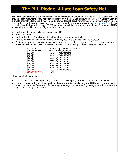## **The PLU Pledge: A Lute Loan Safety Net**

The PLU Pledge program is our commitment to first year students entering PLU in the 2022-23 academic year to provide a loan repayment safety net after graduating from PLU. If you borrow a Federal Direct Student Loan or a private alternative loan, and if your parent borrows a federal Direct Parent PLUS loan on your behalf, you can enroll in the Loan Repayment Assistance Program at no cost to you **by opting in at** [mylrap.org/PLU.](https://award.mylrap.org/?i=PLU) If you graduate from PLU, earn less than \$50,000 per year, we will help you repay your student (and parent PLUS) loans until you do. Here are the Eligibility requirements:

- Must graduate with a bachelor's degree from PLU
- After graduation:
- Must work in the U.S. and cannot be self-employed or working for family.
- Must be employed an average of at least 30 hours/week and earn less than \$50,000/year.
- Continue to make your regular loan payments when you enter loan repayment. The percent of your loan repayment will be reimbursed to you on a quarterly basis according to the following income scale:

| Income of:                   |       | Your loan payments will receive: |
|------------------------------|-------|----------------------------------|
|                              |       | 100% Reimbursement               |
| \$20,000 or less<br>\$23,000 |       | 90% Reimbursement                |
| \$26,000                     |       | 80% Reimbursement                |
| \$29,000<br>\$32,000         |       | 70% Reimbursement                |
|                              |       | 60% Reimbursement                |
| \$35,000                     |       | 50% Reimbursement                |
| \$38,000<br>\$41,000         |       | 40% Reimbursement                |
|                              |       | 30% Reimbursement                |
| \$44,000                     |       | 20% Reimbursement                |
|                              |       | 10% Reimbursement                |
| \$47,000<br>\$50,000 or more | $0\%$ |                                  |
|                              |       |                                  |

Other Important Information:

- The PLU Pledge will cover up to \$17,000 in loans borrowed per year, up to an aggregate of \$70,000.
- Loans borrowed during enrollment periods where a student's intended major at PLU is nursing are not covered. Loans borrowed after their intended major is changed to a non-nursing major, or after formally declaring a different major are covered.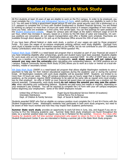## **Student Employment & Work Study**

All PLU students at least 18 years of age are eligible to work on the PLU campus. In order to be employed, you must complete the [U.S. Citizen and Immigration Service I](http://www.plu.edu/studentemployment/wp-content/uploads/sites/162/2014/10/i-9.pdf)-9 Form, which confirms your eligibility to work in the U.S. You will need to bring a government issued picture ID and your social security card (not a photocopy) or a U.S. passport to complete the I-9 form with Student Employment or Student Financial Services. You are limited to working on campus no more than 19 hours per week while school is in session (regardless of how many positions you hold). Jobs are available on a first come, first served basis. You can find postings for open positions on the [Student Employment website.](http://www.plu.edu/studentemployment/home.php) Wages for campus jobs will begin at the state's minimum wage of \$14.49 per hour, which may increase in January, based on a review by the WA Dept of Labor and Industries. On campus positions are convenient, do not require transportation and offer a flexible work schedule. Paychecks are available through direct deposit or for pick up at the Business Office around the 25th of each month.

If you have been offered federal or state work study, a portion of your wages are paid by those programs' funds. PLU pays the wages of on-campus employees working without work study eligibility. Earnings from work study is taxable income and therefore reported on the FAFSA, but do not contribute to your EFC (Expected Family Contribution) when they are reported on the FAFSA question 44c.

[Federal Work Study](http://www.plu.edu/financial-aid/types-aid/work-study/Federal.php) (CWSP) is a need-based aid program that is included as part of your financial aid award if you have remaining eligibility after scholarships, grants and student loans have been awarded. Students eligible for work study who are not residents of Washington state are awarded CWSP. An offer of CWSP does not guarantee you a position nor the amount awarded. Consequently, work study awards will not reduce the amount you may owe the university when calculating your outstanding balance. All CWSP positions are on -campus. Federal Community Service Work Study (FCSW) allows you to work as a tutor or mentor at a local elementary, middle or secondary school.

[WA](https://www.plu.edu/student-financial-services/types-of-aid/work-study/#what-is-state-work-study) [State Work Study](http://www.plu.edu/financial-aid/types-aid/work-study/State.php) (SWSP) is a need-based aid program that allows eligible Washington residents to earn a paycheck to help pay for their indirect educational expenses during the academic year or during the summer break. All Washington residents with work study eligibility will be awarded SWSP. Students are limited to no more than 19 hours per week. Many off-campus employers pay an hourly wage that is higher than on-campus positions, as the program requires SWSP employees to be paid at the same rate as regular entry level employees for that employer. An offer of SWSP on your financial aid award does not guarantee you a position nor the amount awarded. Consequently, work study awards **do not reduce the amount you may owe the university** when calculating your outstanding balance. Students are paid every two weeks or monthly, depending on your employer's pay schedule. You will be required to complete the I-9 Form with your off campus employers before beginning your employment. Some of the SWSP employers include:

Interstate Distributors<br>
Dept. of Children & Family Services Dept. of Social & Health Services Dept. of Children & Family Services

United Way of Pierce County **Puget Sound Educational Service District (8 locations)** 

Students awarded SWSP who find an eligible on-campus position must complete the I-9 and W-4 forms with the Student Employment Center. Washington residents may participate in both work study programs, but need to be aware of their hours worked and how they may impact their academic performance.

**Summer State work study** provides an opportunity to work full time in June, July, and August if you are returning to PLU the following academic year. Summer State Work study employers are found throughout the state, so a summer position does not require you to be in Parkland for the summer. However, PLU does offer housing for students with full time summer employment who expect to return to PLU in the fall. Contact the Student Employment Center if you are interested in finding a summer job in the State Work Study program.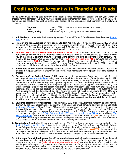## **Crediting Your Account with Financial Aid Funds**

The following must be completed before your financial aid funds will credit your account and pay your university charges for the semester. Be sure you've complete all requirements that apply to you. If all disbursement requirements are satisfied, financial aid credits your account at the beginning of each semester on the following schedule:

| Summer:       |                 | <i>June 1, 2022</i> (June 29, 2022 if not enrolled for Summer 1) |
|---------------|-----------------|------------------------------------------------------------------|
| Fall:         | August 31, 2022 |                                                                  |
| Jterm/Spring: |                 | December 26, 2022 (January 29, 2023 if not enrolled Jterm)       |

- **1. All Students:** Complete the Payment Agreement Form and Terms & Conditions of Award on your Banner [Web](https://banweb.plu.edu/pls/pap/twbkwbis.P_GenMenu?name=homepage) account.
- **2. Filers of the Free Application for Federal Student Aid (FAFSA):** If you filed the 2022-23 FAFSA using estimated 2020 income tax information, you are required to update your FAFSA with actual 2020 tax return information. All need-based aid on your award will NOT disburse until your FAFSA information has been updated to actual information from an already completed tax return.
- **3. NEW for 2022-23! ALL BORROWERS of Federal Direct Loans** (Subsidized and/or Unsubsidized) should acknowledge completion of an "Informed Borrower Consent" form on www.studentaid.gov, which informs you of the monthly payment amount for Direct Loans borrowed to date and its total payoff amount. Remember to also accept your loans on Banner Web. First time borrowers must ALSO complete the Entrance Counseling session **AND** the Master Promissory Note (MPN) also on www.studentaid.gov. After completion, these processes will be updated as "satisfied" on your Banner Web account after July 1, 2022. Loans will not disburse until these requirements have been satisfied in Banner.
- **4. Borrowers of the Federal Nursing Loans:** Accept the loans on your Banner Web account. You will be emailed in August (January, if entering in the spring) with instructions for completing an online application process.
- **5. Borrowers of the Federal Parent PLUS Loan:** Accept the loan on your Banner Web account. A parent must login at [www.studentaid.gov,](https://studentloans.gov/myDirectLoan/index.action) using their own Social Security Number and FASA ID after July 1, 2022. Parents have the option to borrow up to the full cost of attendance, minus any financial aid accepted by the student (this is the "maximum eligibility" option). Application requires authorizing the U.S. Department of Education to perform a credit check on the parent applicant (notice of loan approval or denial will only take a few seconds). If approved, the parent must sign a Master Promissory Note (MPN) with their FSA ID and password, and complete the application, which requires providing two references). The outcome of the PLUS application will be downloaded by PLU. Approved loans will result in an update to the PLUS loan amount and/or its status being updated to "CERT" (certified) on Banner Web. We will automatically offer the student an additional \$4,000 or \$5,000 in the Unsubsidized Direct Loan if the Parent PLUS Loan application is denied. The student **must accept the additional loan amount on Banner Web** before the additional loan amount can be processed.
- **6. Students selected for Verification:** Approximately 18% of all FAFSA filers are randomly selected for verification by the U.S. Department of Education. If selected, you must complete and turn in the applicable [Verification Worksheet.](https://www.plu.edu/financial-aid/documents/) About 97% of FAFSA selected for verification with be in sub-group V1. Be sure you download the worksheet that corresponds to your sub-group, V1, V4 or V5). Sub-groups V1 and V5 will require you to document the income tax information provided on the FAFSA. Documenting your income can be best met by using the [IRS Data Retrieval Tool \(DRT\) when completing your FAFSA,](https://www.youtube.com/watch?v=gD4TTatm9oI) or providing a Tax [Return Transcript](http://www.irs.gov/Individuals/Get-Transcript) from the IRS if the DRT is not an option. As a last resort, a signed photocopy of your original tax return may also be submitted. Failure to complete the verification process will prevent all needbased aid (those with an asterisk in their name) from crediting your account.
- **7. Washington Residents:** If your award includes the WA College Grant, you must complete and return the [Student Directive for State Aid.](https://www.plu.edu/student-financial-services/wp-content/uploads/sites/321/2017/06/student-directive-for-state-aid-1.pdf) Failure to do so will prevent your WA College Grant and WA State College Bound Scholarship from paying on your account. You have the option to choose to receive your state grant aid as a refund check instead of having it pay on your PLU owing balance. **HOWEVER,** Doing so will increase your net (out-of-pocket) cost which must then be paid by student loans or by your own out-of-pocket funds. This document is required only once unless making a change to your choice of disbursement.
- **8. Using your financial aid to pay for off-campus Living or out-of-pocket expenses:** If your financial aid award (not including work study) exceeds your university charges for the semester, you will have a credit balance on your account (reflected as a negative dollar amount) and eligible for a refund check to help pay for your off-campus living costs and/or other expenses not charged by the university. If you wish to receive a refund, you will need to provide banking information to the university for an electronic deposit, or a mailing address for a refund check to be delivered via the U.S. postal service.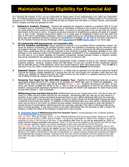## **Maintaining Your Eligibility for Financial Aid**

As a financial aid recipient at PLU, you are responsible for being aware of and understanding your rights and responsibilities. The following policies could have an impact on your continued enrollment at PLU. Please contact us if you have any question on any of these policies. They are intended to help you finalize your aid award in a timely manner, avoid possible finance charges, and help you graduate on time.

**1. Satisfactory Academic Progress:** Financial Aid recipients are required to maintain a cumulative GPA of 2.0 and cumulative pace of completion of 67%, where pace of completion is defined as the number of successfully completed credits divided by the number of attempted credits. You will be in warning status if you do not meet one of these benchmarks at the end of a term. A second consecutive semester of unsatisfactory progress will result in a suspension, or loss, of aid. Students whose GPA is below 1.0 or whose pace of completion is below 25% after their first term at PLU will be immediately suspended. There is an appeal process for extenuating circumstances and an academic plan with Academic Advising is required for reinstatement of eligibility for aid. See the full policy statement on the PLU Student Financial Services Homepage under **[Documents](https://www.plu.edu/student-financial-services/wp-content/uploads/sites/321/2020/12/undergraduate-satisfactory-academic-progress-updated_120420.pdf) or under [Quick Links](https://www.plu.edu/student-financial-services/wp-content/uploads/sites/321/2021/10/undergraduate-satisfactory-academic-progress-updated_03042021.pdf)** on our home page.

#### **[2](http://www.plu.edu/financial-aid/wp-content/uploads/sites/215/2015/06/2015-16-financial-aid-satisfactory-academic-progress-undergraduate-students1.pdf)**. **[PLU Scholarship GPA Requirements: 3.0 Cumulative GPA](http://www.plu.edu/financial-aid/wp-content/uploads/sites/215/2015/06/2015-16-financial-aid-satisfactory-academic-progress-undergraduate-students1.pdf)**

 **All PLU Academic Scholarships** [require recipients to maintain a 3.0 cumulative GPA for scholarship renewal. Be](http://www.plu.edu/financial-aid/wp-content/uploads/sites/215/2015/06/2015-16-financial-aid-satisfactory-academic-progress-undergraduate-students1.pdf)cause the Regent'[s Scholarship, the Harstad Founder](http://www.plu.edu/financial-aid/wp-content/uploads/sites/215/2015/06/2015-16-financial-aid-satisfactory-academic-progress-undergraduate-students1.pdf)'s Award, and President's Scholarship are the university's high[est academic awards, if your GPA falls below this 3.0 minimum,](http://www.plu.edu/financial-aid/wp-content/uploads/sites/215/2015/06/2015-16-financial-aid-satisfactory-academic-progress-undergraduate-students1.pdf) at time of renewal for the following academic year, [these three scholarships will be returned \(reduced\) to the University Academic Scholarship awarded to you upon](http://www.plu.edu/financial-aid/wp-content/uploads/sites/215/2015/06/2015-16-financial-aid-satisfactory-academic-progress-undergraduate-students1.pdf)  admission to the university (before the President'[s Scholarship competition\). If you subsequently raise your cumula](http://www.plu.edu/financial-aid/wp-content/uploads/sites/215/2015/06/2015-16-financial-aid-satisfactory-academic-progress-undergraduate-students1.pdf)[tive GPA back to 3.0 or better, eligibility for President](http://www.plu.edu/financial-aid/wp-content/uploads/sites/215/2015/06/2015-16-financial-aid-satisfactory-academic-progress-undergraduate-students1.pdf)'s Scholarship, Harstad Founder's Award, or Regent's Scholar[ship will be reinstated for the subsequent semesters with the 3.0 minimum GPA.](http://www.plu.edu/financial-aid/wp-content/uploads/sites/215/2015/06/2015-16-financial-aid-satisfactory-academic-progress-undergraduate-students1.pdf) 

[Continued eligibility for the University Academic Scholarships remain unabated as long as you maintain satisfactory](http://www.plu.edu/financial-aid/wp-content/uploads/sites/215/2015/06/2015-16-financial-aid-satisfactory-academic-progress-undergraduate-students1.pdf)  [academic progress. However, students whose GPA falls below 3.0 may see a portion of their scholarship replaced](http://www.plu.edu/financial-aid/wp-content/uploads/sites/215/2015/06/2015-16-financial-aid-satisfactory-academic-progress-undergraduate-students1.pdf)  [with an alternate source of gift assistance, which may include federal or state need](http://www.plu.edu/financial-aid/wp-content/uploads/sites/215/2015/06/2015-16-financial-aid-satisfactory-academic-progress-undergraduate-students1.pdf)-based grants. This will **not** be a [reduction in aid, but rather a reallocation of how the original scholarship](http://www.plu.edu/financial-aid/wp-content/uploads/sites/215/2015/06/2015-16-financial-aid-satisfactory-academic-progress-undergraduate-students1.pdf) **amount** will be funded.

- **3. Repeated Classes:** Classes previously passed at D- [or better may be repeated once and still be covered by Federal](http://www.plu.edu/financial-aid/wp-content/uploads/sites/215/2015/06/2015-16-financial-aid-satisfactory-academic-progress-undergraduate-students1.pdf) [financial aid funding. Classes repeated for a second time will not count toward your semester credit load and may](http://www.plu.edu/financial-aid/wp-content/uploads/sites/215/2015/06/2015-16-financial-aid-satisfactory-academic-progress-undergraduate-students1.pdf)  [reduce your eligibility for federal and state aid. Failed courses are not limited to a repeated maximum but run the](http://www.plu.edu/financial-aid/wp-content/uploads/sites/215/2015/06/2015-16-financial-aid-satisfactory-academic-progress-undergraduate-students1.pdf)  [risk of failing to meet the minimum GPA requirement.](http://www.plu.edu/financial-aid/wp-content/uploads/sites/215/2015/06/2015-16-financial-aid-satisfactory-academic-progress-undergraduate-students1.pdf)
- [4.](http://www.plu.edu/financial-aid/wp-content/uploads/sites/215/2015/06/2015-16-financial-aid-satisfactory-academic-progress-undergraduate-students1.pdf) **Renewing Your Award for the 2023-2024 Academic Year:** [Eligibility for all federal and state aid, as well as](http://www.plu.edu/financial-aid/wp-content/uploads/sites/215/2015/06/2015-16-financial-aid-satisfactory-academic-progress-undergraduate-students1.pdf)  need-[based awards offered by PLU require you to complete the FAFSA each year \(or WASFA as applicable\). The](http://www.plu.edu/financial-aid/wp-content/uploads/sites/215/2015/06/2015-16-financial-aid-satisfactory-academic-progress-undergraduate-students1.pdf)  FAFSA for the 2023-[24 academic year will be available October 1, 2022. Students returning for the 2023](http://www.plu.edu/financial-aid/wp-content/uploads/sites/215/2015/06/2015-16-financial-aid-satisfactory-academic-progress-undergraduate-students1.pdf) -24 aca[demic year should complete the FAFSA by Dec. 1, 2022 in order to be considered on time for the priority funding](http://www.plu.edu/financial-aid/wp-content/uploads/sites/215/2015/06/2015-16-financial-aid-satisfactory-academic-progress-undergraduate-students1.pdf)  [deadline. Undocumented Washington Residents should complete the WASFA \(WA Application for State Financial Aid\)](http://www.plu.edu/financial-aid/wp-content/uploads/sites/215/2015/06/2015-16-financial-aid-satisfactory-academic-progress-undergraduate-students1.pdf)  [as soon after October 1, 2022 as possible.](http://www.plu.edu/financial-aid/wp-content/uploads/sites/215/2015/06/2015-16-financial-aid-satisfactory-academic-progress-undergraduate-students1.pdf)

**Withdrawing From and Returning to PLU:** [Withdrawing from all your classes prior to the 11th day of class will](http://www.plu.edu/financial-aid/wp-content/uploads/sites/215/2015/06/2015-16-financial-aid-satisfactory-academic-progress-undergraduate-students1.pdf)  [result in a 100% refund of tuition and fees for the semester. Withdrawing after the 10th day of class results in a](http://www.plu.edu/financial-aid/wp-content/uploads/sites/215/2015/06/2015-16-financial-aid-satisfactory-academic-progress-undergraduate-students1.pdf)  [proration of your tuition charge and federal student aid based on your official withdrawal date from the university.](http://www.plu.edu/financial-aid/wp-content/uploads/sites/215/2015/06/2015-16-financial-aid-satisfactory-academic-progress-undergraduate-students1.pdf)  [Once more than 60% of the semester has elapsed, there is no tuition refund and all disbursable financial aid will be](http://www.plu.edu/financial-aid/wp-content/uploads/sites/215/2015/06/2015-16-financial-aid-satisfactory-academic-progress-undergraduate-students1.pdf)  [considered to have been fully utilized. To establish an official withdrawal date, you must submit a withdrawal form,](http://www.plu.edu/financial-aid/wp-content/uploads/sites/215/2015/06/2015-16-financial-aid-satisfactory-academic-progress-undergraduate-students1.pdf)  [which can be found on the Center for Student Success website](http://www.plu.edu/financial-aid/wp-content/uploads/sites/215/2015/06/2015-16-financial-aid-satisfactory-academic-progress-undergraduate-students1.pdf). Students are encouraged to meet with Student Fi[nancial Services if contemplating withdrawing from the university, especially if the date of withdrawal falls during](http://www.plu.edu/financial-aid/wp-content/uploads/sites/215/2015/06/2015-16-financial-aid-satisfactory-academic-progress-undergraduate-students1.pdf)  [Jterm or spring semester. If you wish to return to PLU after withdrawing from the university or after a break in at](http://www.plu.edu/financial-aid/wp-content/uploads/sites/215/2015/06/2015-16-financial-aid-satisfactory-academic-progress-undergraduate-students1.pdf)[tendance, contact the Office of the Registrar to begin the re](http://www.plu.edu/financial-aid/wp-content/uploads/sites/215/2015/06/2015-16-financial-aid-satisfactory-academic-progress-undergraduate-students1.pdf)-entry process.

**A. [Important Dates](https://www.plu.edu/student-financial-services/wp-content/uploads/sites/321/2022/01/smr-term1-only-2.pdf) if Withdrawing from PLU Summer Term I**: (Undergraduates only; Graduate students must consult Student Financial Services)

June 10, 2022: Fifth day of class, Term I. If you officially withdraw from all of your summer classes on or before this date, you will receive a 100% refund of tuition. You become responsible for 100% of fee charges if you do not withdraw by June 6, the first day of the term. If you withdraw after June 10, you will be responsible for 100% of tuition and fee charges associated with Summer, Term I. If you are a new student in the summer and did not register for summer semester classes, you will be considered to have never enrolled at PLU for the term. June 21, 2022: This is the date at which more than 60% of the term will have elapsed if enrolled for Term I only. This date is important only if you do not register for any Term II classes or if you withdraw from all Term II classes prior to ceasing your Term I attendance. If you withdraw prior to this date, your federal student aid will be prorated based on your date of withdrawal or last date of attendance. On campus housing charges are prorated according to the Residential life proration schedule. Financial aid for the term will be considered to be fully utilized if you withdraw after this date. Eligibility to work under the work study programs terminate upon your withdrawal from the university.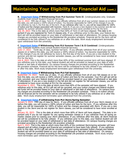## **Maintaining Your Eligibility for Financial Aid (cont.)**

#### **B. [Important Dates](https://www.plu.edu/student-financial-services/wp-content/uploads/sites/321/2022/01/smr-term-ii-only-1.pdf) if Withdrawing from PLU Summer Term II**: (Undergraduates only; Graduate students must consult Student Financial Services)

July 11, 2022: Fifth day of class, Term II. If you officially withdraw from all of your summer classes on or before this date, you will receive a 100% refund of tuition. You become responsible for 100% of fee charges if you do not withdraw by July 5, the first day of the term. If you withdraw after July 11, you will be responsible for 100% of tuition and fee charges associated with Summer, Term II. If you are a new student in the summer and did not register for summer semester classes, you will be considered to have never enrolled at PLU for the term. July 20, 2022: This is the date at which more than 60% of Term II will have elapsed. This date is important if you are registered for Term II classes only. If you withdraw prior to this date, your federal student aid will be prorated based on your date of withdrawal or last date of attendance. On campus housing charges are prorated according to the Residential life proration schedule. Financial aid for the term will be considered to be fully utilized if you withdraw on or after this date. Work study employment terminates upon withdrawal from the university.

#### **C. [Important Dates](https://www.plu.edu/student-financial-services/wp-content/uploads/sites/321/2022/01/session-session-term-1-2.pdf) if Withdrawing from PLU Summer Term I & II Combined**: (Undergraduates only; Graduate students must consult Student Financial Services)

June 17, 2022: Tenth day of class, Summer full term. If you officially withdraw from all of your summer classes on or before this date, you will receive a 100% refund of tuition. You become responsible for 100% of fee charges if you do not withdraw by June 6, the first day of the term. If you are a new student in the summer and did not register for summer semester classes, you will be considered to have never enrolled at PLU for the term.

July 8, 2022: This is the date at which more than 60% of the combined summer term will have elapsed. If you withdraw prior to this date, your federal student aid will be prorated on based on your date of withdrawal or last date of attendance. On campus housing charges are prorated according to the Residential life proration schedule. Financial aid for the term will be considered to be fully utilized if you withdraw on or after this date. Work study employment terminates upon withdrawal from the university.

#### **D. [Important Dates](https://www.plu.edu/student-financial-services/wp-content/uploads/sites/321/2022/01/fall-2022-r2t4-calendar.pdf) [i](file:///C:/Users/noborirm/Desktop/Web page documents/2019-2020 documents/R2T4 timetables/Fall 2019 R2T4 Timetable.pdf)f Withdrawing from PLU Fall Semester:**

September 19, 2022: Tenth day of class. If you officially withdraw from all of your fall classes on or before this date, you will receive a 100% refund of tuition and fees for the semester. Your PLU gift aid will be fully canceled, and your federal student aid will be prorated based on your date of withdrawal or last date of attendance. If you are a new student in the fall and did not register for fall semester classes, you will be considered to have never enrolled at PLU for the semester.

November 6, 2022: This is the date at which more than 60% of the semester will have elapsed. If you withdraw prior to this date, all PLU gift aid will be canceled, and your tuition charges and federal student aid funds will be prorated based on your date of withdrawal or last date of attendance. On campus housing charges are prorated according to the Residential Life proration schedule. There is no tuition refund and all financial aid for the semester will be considered to be fully utilized if you withdraw on or after this date. Work study employment terminates upon withdrawal from the university.

#### **[E.](https://www.plu.edu/student-financial-services/wp-content/uploads/sites/321/2020/12/jterm-spring-r2t4-calendar.pdf) [Important Dates](https://www.plu.edu/student-financial-services/wp-content/uploads/sites/321/2022/01/jterm-spr-2023-r2t4-schedule-1.pdf) if withdrawing from PLU Jterm/Spring Semester:**

January 9, 2023: Fifth day of class for Jterm. If you officially withdraw from all of your Jterm classes on or before this date, you will receive a 100% refund of tuition and fees for the term. If you withdraw after this date, you will be responsible for 100% of tuition and fee charges associated with Jterm. If you are a new student in the Jterm and do not register for Jterm classes, you will be considered to have never enrolled at PLU.

January 20, 2023: This is the date at which more than 60% of Jterm will have elapsed. This date is important only if you do not register for any spring semester classes or if you withdraw from all spring semester classes prior to ceasing your Jterm attendance. If you withdraw after this date, all Jterm financial aid will be considered to be fully utilized. If you withdraw prior to this date, your federal student aid will be prorated based on your date of withdrawal or last date of attendance. On campus housing charges are prorated according to the Residential Life proration schedule.

April 5, 2023 This is the date at which more than 60% of the combined Jterm/spring semester will have elapsed and all tuition charges and financial are considered to have been fully utilized. If you withdraw prior to this date, all PLU gift aid will be canceled, and your spring semester tuition charges and federal student aid will be prorated based on your date of withdrawal or last date of attendance. On campus housing charges are prorated according to the Residential Life proration schedule. Work study employment terminates upon withdrawal from the university.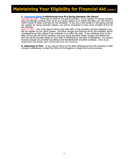## **Maintaining Your Eligibility for Financial Aid (cont.)**

#### **F. [Important Dates](https://www.plu.edu/student-financial-services/wp-content/uploads/sites/321/2022/01/spr-2023-r2t4-schedule-3.pdf) if withdrawing from PLU Spring Semester (No Jterm):**

February 22, 2023: Tenth day of class for the spring semester. If you register for spring semester only and officially withdraw from all of your spring classes on or before this date, you will receive a 100% refund of tuition and fees for the semester. If you are a new student in the spring and did not register for spring semester classes, you will be considered to have never enrolled at PLU for the semester.

April 17, 2023: This is the date at which more than 60% of the semester will have elapsed if you did not register for any Jterm classes. All tuition charges and financial aid for the semester will be considered to be fully utilized if you withdraw on or after this date. If you withdraw prior to this date, all PLU gift aid will be canceled, and your spring semester tuition charges and federal student aid will be prorated based on your date of withdrawal or last date of attendance. On campus housing charges are prorated according to the Residential life proration schedule. Work study employment terminates upon withdrawal from the university.

**G. Returning to PLU:** If you wish to return to PLU after withdrawing from the university or after a break in attendance, contact the Office of the Registrar to begin the re-entry process.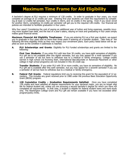## **Maximum Time Frame for Aid Eligibility**

A bachelor's degree at PLU requires a minimum of 128 credits. In order to graduate in four years, you must complete an average of 32 credits per year. Entering first year students can meet this requirement by completing at least 12 credits fall semester, four credits in Jterm, and 16 credits in the spring. Even if you never enroll for another Jterm, completing 16 credits per semester will get you to the required 128 credits. Our financial aid policies are intended to facilitate graduation in four years.

Why four years? Considering the cost of paying an additional year of tuition and living expenses, possibly incurring more student loan debt, and the loss of a year's salary, staying on track and graduating in four years simply makes good financial sense.

**Maximum Financial Aid Eligibility Timeframes:** [If you are entering PLU as a first year student, we expect](http://www.irs.gov/Individuals/Get-Transcript)  [you to graduate in four years and no more than three years if entering as a transfer student. Take note of the](http://www.irs.gov/Individuals/Get-Transcript)  following life-[time eligibility limits as they may impact your enrollment plans. Each policy listed below will be ap](http://www.irs.gov/Individuals/Get-Transcript)[plied as soon as the condition it addresses is reached.](http://www.irs.gov/Individuals/Get-Transcript) 

**A. PLU Scholarships and Grants:** [Eligibility for PLU funded scholarships and grants are limited to the](http://www.irs.gov/Individuals/Get-Transcript)  [following:](http://www.irs.gov/Individuals/Get-Transcript)

**[First Yea](http://www.irs.gov/Individuals/Get-Transcript)r Students:** [If you enter PLU with less than 30 credits, you have eight semesters of eligibility.](http://www.irs.gov/Individuals/Get-Transcript)  [PLU gift aid is not available after this eighth semester, but you may appeal for a ninth semester if you](http://www.irs.gov/Individuals/Get-Transcript)  [use a semester of aid but have to withdraw due to a medical or family emergency. College credits](http://www.irs.gov/Individuals/Get-Transcript)  earned in high school (via Running Start, International Baccalaureate or Advanced Placement or other [college in high school programs\) are not included in this 30 credit cap.](http://www.irs.gov/Individuals/Get-Transcript)

**Transfer Students:** [If you enter PLU with 30 or more credits, you have six semesters of eligibility. No](http://www.irs.gov/Individuals/Get-Transcript)  PLU gift aid is available after this sixth semester, but you may appeal for a seventh semester if you use [a semester of aid but have to withdraw due to a medical or family emergency.](http://www.irs.gov/Individuals/Get-Transcript) 

- **[B](http://www.irs.gov/Individuals/Get-Transcript).** Federal Pell Grants: [Federal regulations limit you to receiving this grant for the equivalent of 12 se](http://www.irs.gov/Individuals/Get-Transcript)[mesters. This includes any grant received prior to 1980 under the previous Basic Education Opportunity](http://www.irs.gov/Individuals/Get-Transcript)  [Grant \(BEOG\) program.](http://www.irs.gov/Individuals/Get-Transcript)
- **C. [128 Cu](http://www.irs.gov/Individuals/Get-Transcript)mulative Credits – Graduation Requirements Satisfied:** Once you have completed 128 credits and have satisfied all degree requirements for your declared major, you are no longer eligi ble for federal student aid, unless you are pursuing a second bachelor's degree for which you have not completed all requirements. In that case, a student is eligible for federal student loans and work-study only. The Washington College Grant and PLU gift aid remain available if you have not exceeded other program/policy limits.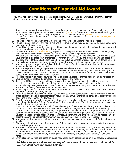## **Conditions of Financial Aid Award**

If you are a recipient of financial aid (scholarships, grants, student loans, and work study programs) at Pacific Lutheran University, you are agreeing to the following terms and conditions:

- 1. There are no automatic renewals of need-based financial aid. You must apply for financial aid each year by submitting a Free Application for Federal Student Aid [\(FAFSA\)](http://www.fafsa.ed.gov/) or if you are an undocumented Washington resident, by submitting the Washington Application for State Financial Aid [\(WASFA\)](http://www.readysetgrad.org/)
- 2. A student's financial aid budget and determination of financial need is located on your [banner web/self ser](https://banweb.plu.edu/pls/pap/twbkwbis.P_WWWLogin)[vice](https://banweb.plu.edu/pls/pap/twbkwbis.P_WWWLogin) account.
- 3. Renewal of non-need based financial aid is done by the Office of Student Financial Services.
- 4. Failure to accept the Offer of Financial Aid and/or submit all other required documents by the specified date may result in the cancellation of aid.
- 5. Federal Direct Loans (subsidized and unsubsidized) award amounts do not reflect origination fees deducted by the federal government prior to disbursement.
- 6. All federal loans ([Direct,](https://studentloans.gov/myDirectLoan/index.action) [and Nursing](https://ipromise.campuspartners.com/)) require you to complete an on-line master promissory note (MPN) and loan entrance counseling session, as well as a loan acknowledgment of borrowing.
- 7. The total of all financial aid (scholarships/grants, loans, work study) for the academic year may not exceed your financial aid budget (cost of attendance) for that given year if you are receiving any need-based aid.
- 8. The total of all PLU funded scholarships and grants, including benefits awarded via Tuition Remission or Tuition Exchange programs, may not exceed the amount of your PLU tuition charges for the year.
- 9. You are required to report to the Office of Student Financial Services any scholarships, grants, or loans not shown on the Offer of Financial Aid.
- 10. You must report any change in permanent address, enrollment status, or financial information previously reported on your FAFSA (or WASFA). If any change occurs at any time during the academic year, your financial aid offer will be reviewed to determine if a revision is required. Your financial aid will always be impacted if you drop below half time or withdraw.
- 11. All funds offered must first go toward payment of direct educational charges billed by PLU as reflected on your student account (e.g. tuition, fees, on-campus room and meals).
- 12. To receive PLU gift assistance, full-time status must be maintained (at least 12 credit hours per semester). A repeated course can be used to meet this requirement only ONCE, unless failed previously.
- 13. PLU scholarships and grants are available for fall and spring semesters only, with the exception of the Yellow Ribbon Matching Grant available for summer term.
- 14. Scholarship renewal requires that you meet GPA requirements as specified in this Financial Aid Handbook or the Pacific Lutheran University catalog.
- 15. In order to continue receiving financial aid, you must be making satisfactory academic progress. Minimum grade point average and credit completion requirements, as well as maximum terms of eligibility outlined on page nine in this Financial Aid Handbook.
- 16. A work study award provides an employment opportunity for eligible students to potentially earn up to the amount specified on the Offer of Financial Aid for the academic year. Work study awards may be increased if student has remaining unmet need.
- 17. Should you withdraw from some or all of your classes, your financial aid may be adjusted according to university policy or a federally prescribed formula that make you eligible for a refund of funds already paid on your account. This may include returning loan proceeds to the Federal Direct Loan program that previously paid toward your university balance, causing you to now have an owing balance. You should meet with a Student Financial Services specialist prior to withdrawing from the university to learn of its impact on your student account. For additional information, see page seven of this Financial Aid Handbook.
- 18. You agree that the materials contained in your financial aid file become the property of Pacific Lutheran University.
- 19. Changes in eligibility or terms of assistance for federal, state, private programs, or university funding may occur without prior notice.
- 20. The Pacific Lutheran University Office of Student Financial Services reserves the right to review, modify, or cancel financial aid offers at any time on the basis of information affecting your eligibility. This includes, but is not limited to changes in your financial, marital, residence, academic status or standing, or U.S. citizenship or permanent resident status, or changes in the availability of federal, state, private, or university funds.
- 21. Offers also may be modified based on disciplinary action taken against you or on the discovery of processing errors.

#### **Revisions to your aid award for any of the above circumstances could modify your student account owing balance.**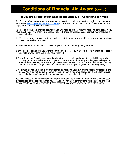## **Conditions of Financial Aid Award (cont.)**

#### **If you are a recipient of Washington State Aid – Conditions of Award**

The State of Washington is offering you financial assistance to help support your education expenses. Please visit [www.opportunitypathways.wa.gov](http://www.opportunitypathways.wa.gov) to receive more information about financial aid, scholarships, work study, and student loans.

In order to receive this financial assistance you will need to comply with the following conditions. If you have questions or find that you cannot comply with these conditions, please contact your institution's financial aid office.

- 1. You do not owe a repayment to any federal or state grant or scholarship nor are you in default on a state or federal student loan.
- 2. You must meet the minimum eligibility requirements for the program(s) awarded.
- 3. If you do not attend or if you withdraw from your classes, you may owe a repayment of all or part of any state grant or scholarship you have received.
- 4. The offer of this financial assistance is subject to, and conditioned upon, the availability of funds. Washington Student Achievement Council and the institution through which the grant, scholarship, or work study is awarded, reserve the right to withdraw, reduce, or modify the awards due to funding limitations or due to changes in circumstances which affect your eligibility for the program(s).
- 5. You must maintain academic progress standards following your institutions policies for state aid programs. You must not pursue a degree in theology nor, if you are a state grant or scholarship recipient, hold a bachelor's degree (have been conferred a bachelor's degree).

You may choose to voluntarily make financial contributions to Washington Student Achievement Council in recognition of the assistance that you received. All voluntary contributions will be used to provide financial assistance to other students. Please contact finaid@wsac.wa.gov for more information.